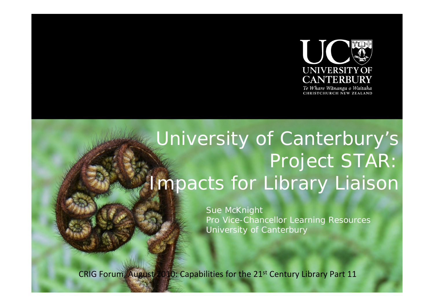

# *University of Canterbury's Project STAR: Impacts for Library Liaison*

Sue McKnight Pro Vice-Chancellor Learning Resources University of Canterbury

CRIG Forum, August 2010: Capabilities for the 21<sup>st</sup> Century Library Part 11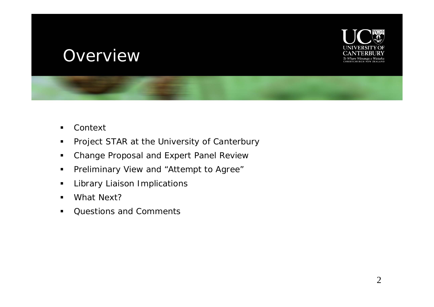#### *Overview*



- $\blacksquare$ Context
- $\blacksquare$ Project STAR at the University of Canterbury
- $\blacksquare$ Change Proposal and Expert Panel Review
- $\blacksquare$ Preliminary View and "Attempt to Agree"
- $\blacksquare$ Library Liaison Implications
- $\blacksquare$ What Next?
- $\blacksquare$ Questions and Comments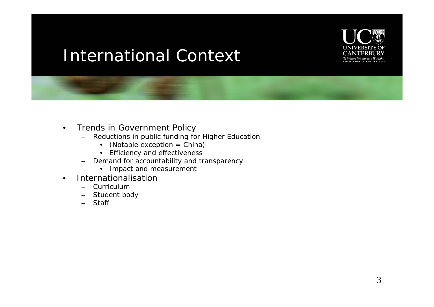## *International Context*

- $\bullet$  Trends in Government Policy
	- Reductions in public funding for Higher Education
		- (Notable exception = China)
		- Efficiency and effectiveness
	- Demand for accountability and transparency
		- Impact and measurement
- • Internationalisation
	- Curriculum
	- Student body
	- Staff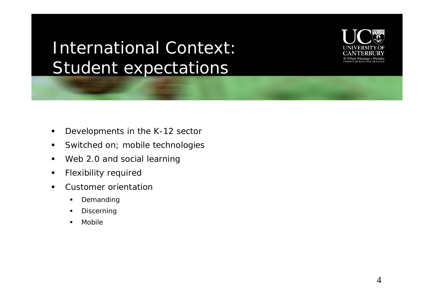### *International Context: Student expectations*



- $\blacksquare$ Developments in the K-12 sector
- $\blacksquare$ Switched on; mobile technologies
- $\blacksquare$ Web 2.0 and social learning
- $\blacksquare$ Flexibility required
- $\blacksquare$  Customer orientation
	- $\blacksquare$ Demanding
	- n Discerning
	- $\blacksquare$ Mobile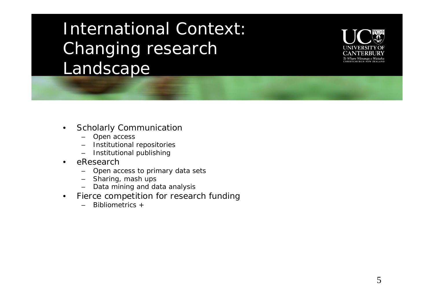*International Context:Changing research Landscape*



- $\bullet$  Scholarly Communication
	- –Open access
	- –Institutional repositories
	- Institutional publishing
- • eResearch
	- Open access to primary data sets
	- Sharing, mash ups
	- Data mining and data analysis
- $\bullet$  Fierce competition for research funding
	- $\sim$ Bibliometrics <sup>+</sup>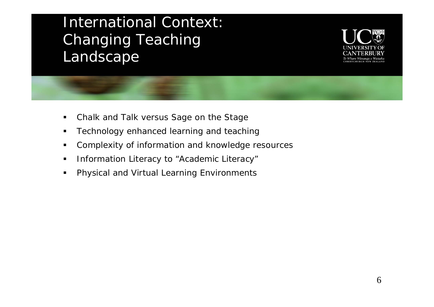*International Context: Changing Teaching Landscape*



- $\blacksquare$ Chalk and Talk versus Sage on the Stage
- $\blacksquare$ Technology enhanced learning and teaching
- $\blacksquare$ Complexity of information and knowledge resources
- $\blacksquare$ Information Literacy to "Academic Literacy"
- Physical and Virtual Learning Environments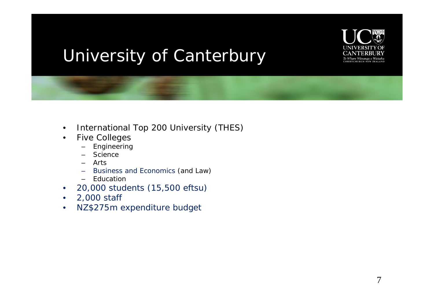

# *University of Canterbury*

- $\bullet$ International Top 200 University (THES)
- $\bullet$  Five Colleges
	- Engineering
	- –**Science**
	- –Arts
	- Business and Economics (and Law)
	- Education
- 20,000 students (15,500 eftsu)
- 2,000 staff
- $\bullet$ NZ\$275m expenditure budget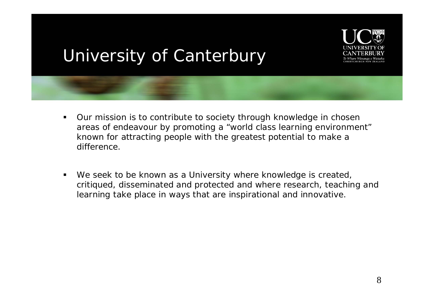

# *University of Canterbury*

- Our mission is to contribute to society through knowledge in chosen areas of endeavour by promoting a "world class learning environment" known for attracting people with the greatest potential to make a difference.
- $\blacksquare$ We seek to be known as a University where knowledge is created, critiqued, disseminated and protected and where research, teaching and learning take place in ways that are inspirational and innovative.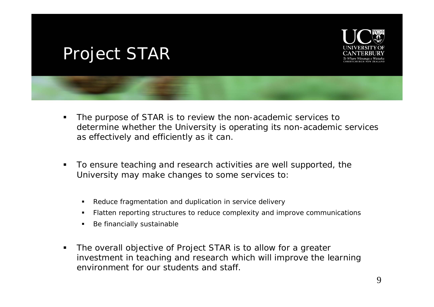

#### *Project STAR*

- The purpose of STAR is to review the non-academic services to determine whether the University is operating its non-academic services as effectively and efficiently as it can.
- To ensure teaching and research activities are well supported, the University may make changes to some services to:
	- n Reduce fragmentation and duplication in service delivery
	- $\blacksquare$ Flatten reporting structures to reduce complexity and improve communications
	- $\blacksquare$ Be financially sustainable
- $\blacksquare$  The overall objective of Project STAR is to allow for a greater investment in teaching and research which will improve the learning environment for our students and staff.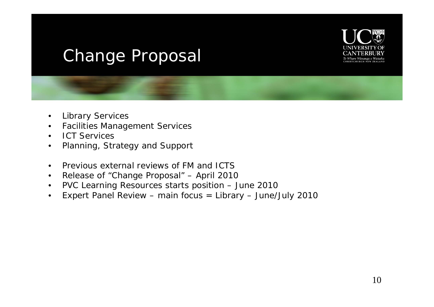

#### *Change Proposal*

- •Library Services
- $\bullet$ Facilities Management Services
- •ICT Services
- $\bullet$ Planning, Strategy and Support
- •Previous external reviews of FM and ICTS
- $\bullet$ Release of "Change Proposal" – April 2010
- $\bullet$ PVC Learning Resources starts position – June 2010
- $\bullet$ Expert Panel Review – main focus = Library – June/July 2010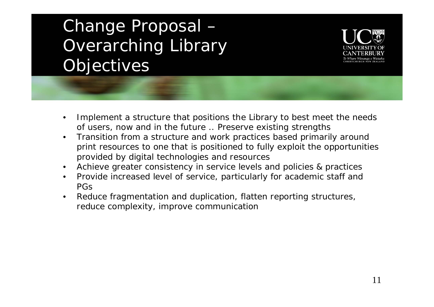*Change Proposal – Overarching Library Objectives* 



- • Implement a structure that positions the Library to best meet the needs of users, now and in the future .. Preserve existing strengths
- Transition from a structure and work practices based primarily around print resources to one that is positioned to fully exploit the opportunities provided by digital technologies and resources
- Achieve greater consistency in service levels and policies & practices
- Provide increased level of service, particularly for academic staff and PGs
- • Reduce fragmentation and duplication, flatten reporting structures, reduce complexity, improve communication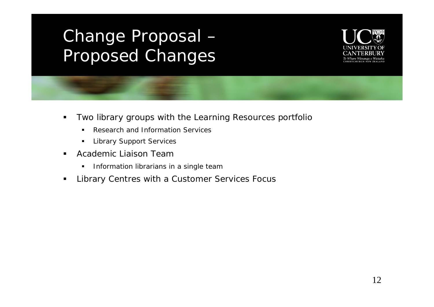# *Change Proposal – Proposed Changes*



- $\blacksquare$  Two library groups with the Learning Resources portfolio
	- $\blacksquare$ Research and Information Services
	- $\blacksquare$ Library Support Services
- $\blacksquare$  Academic Liaison Team
	- $\blacksquare$ Information librarians in a single team
- $\blacksquare$ Library Centres with a Customer Services Focus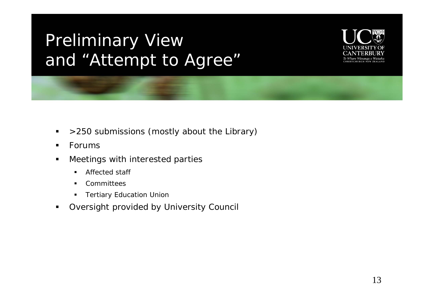# *Preliminary View and "Attempt to Agree"*



- $\blacksquare$ >250 submissions (mostly about the Library)
- $\blacksquare$ Forums
- $\blacksquare$  Meetings with interested parties
	- $\blacksquare$ Affected staff
	- $\blacksquare$ Committees
	- $\mathcal{L}_{\mathcal{A}}$ Tertiary Education Union
- $\blacksquare$ Oversight provided by University Council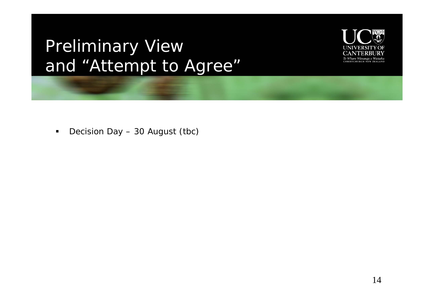# *Preliminary View and "Attempt to Agree"*



 $\blacksquare$ Decision Day – 30 August (tbc)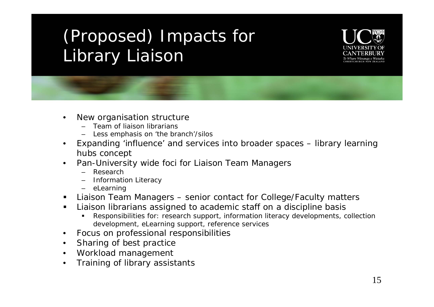# *(Proposed) Impacts for Library Liaison*



- • New organisation structure
	- Team of liaison librarians
	- Less emphasis on 'the branch'/silos
- Expanding 'influence' and services into broader spaces library learning hubs concept
- • Pan-University wide foci for Liaison Team Managers
	- Research
	- Information Literacy
	- eLearning
- Liaison Team Managers – senior contact for College/Faculty matters
- Liaison librarians assigned to academic staff on a discipline basis
	- $\blacksquare$  Responsibilities for: research support, information literacy developments, collection development, eLearning support, reference services
- Focus on professional responsibilities
- $\bullet$ Sharing of best practice
- $\bullet$ Workload management
- •Training of library assistants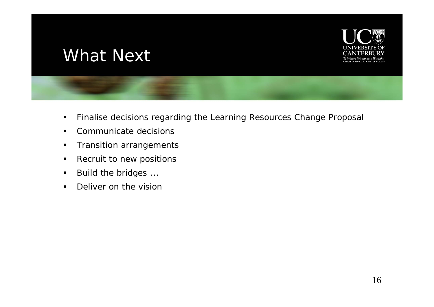#### *What Next*



- $\blacksquare$ Finalise decisions regarding the Learning Resources Change Proposal
- $\blacksquare$ **Communicate decisions**
- $\blacksquare$ Transition arrangements
- $\blacksquare$ Recruit to new positions
- $\blacksquare$ Build the bridges ...
- $\blacksquare$ Deliver on the vision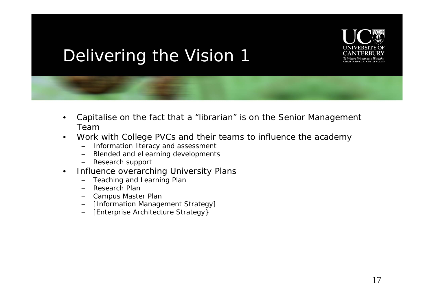

## *Delivering the Vision 1*

- • Capitalise on the fact that a "librarian" is on the Senior Management Team
- $\bullet$  Work with College PVCs and their teams to influence the academy
	- Information literacy and assessment
	- Blended and eLearning developments
	- Research support
- $\bullet$  Influence overarching University Plans
	- –Teaching and Learning Plan
	- Research Plan
	- Campus Master Plan
	- [Information Management Strategy]
	- [Enterprise Architecture Strategy}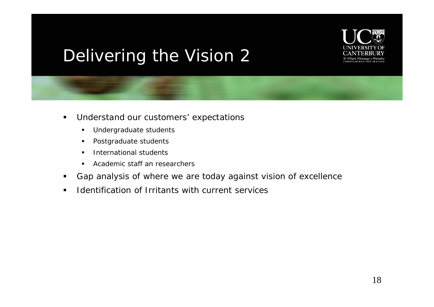

## *Delivering the Vision 2*

- $\blacksquare$  Understand our customers' expectations
	- $\blacksquare$ Undergraduate students
	- $\blacksquare$ Postgraduate students
	- $\blacksquare$ International students
	- $\blacksquare$ Academic staff an researchers
- $\blacksquare$ Gap analysis of where we are today against vision of excellence
- $\blacksquare$ Identification of Irritants with current services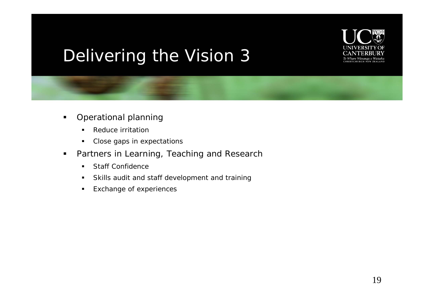

## *Delivering the Vision 3*

- $\blacksquare$  Operational planning
	- $\blacksquare$ **Reduce irritation**
	- $\blacksquare$ Close gaps in expectations
- $\blacksquare$  Partners in Learning, Teaching and Research
	- $\blacksquare$ ■ Staff Confidence
	- $\blacksquare$ Skills audit and staff development and training
	- $\blacksquare$ Exchange of experiences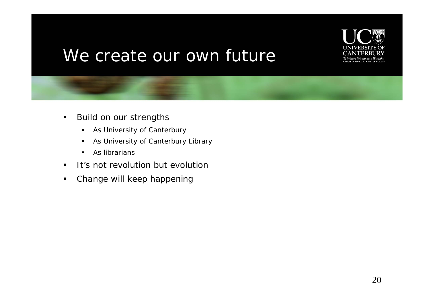

#### *We create our own future*

- $\blacksquare$  Build on our strengths
	- $\blacksquare$ As University of Canterbury
	- $\blacksquare$ As University of Canterbury Library
	- $\blacksquare$ As librarians
- $\blacksquare$ It's not revolution but evolution
- $\blacksquare$ Change will keep happening